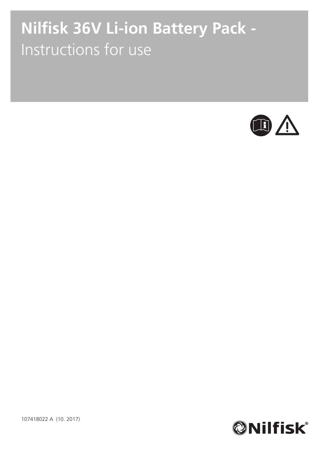# **Nilfisk 36V Li-ion Battery Pack -**Instructions for use





107418022 A (10. 2017)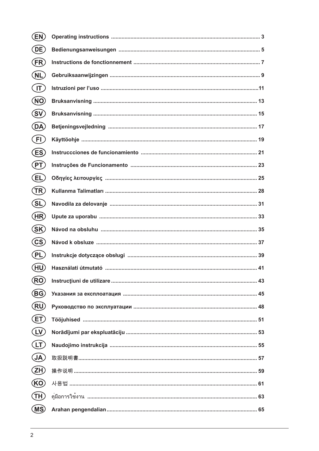| (EN)                    |  |
|-------------------------|--|
| (DE)                    |  |
| (FR)                    |  |
| (NL)                    |  |
| $(\sf{I}\Gamma)$        |  |
| (NO)                    |  |
| (SV)                    |  |
| (DA)                    |  |
| (FI)                    |  |
| (ES)                    |  |
| (PT)                    |  |
| (EL)                    |  |
| (TR)                    |  |
| (SL)                    |  |
| (HR)                    |  |
| (SK)                    |  |
| $\left($ CS $\right)$   |  |
|                         |  |
| (PL)                    |  |
| (HU)                    |  |
| <b>RO</b>               |  |
| BG)                     |  |
| (RU)                    |  |
| ET)                     |  |
| $\mathsf{L} \mathsf{V}$ |  |
| LT                      |  |
| <b>JA</b>               |  |
| ZH)                     |  |
| (KO)                    |  |
| TH)                     |  |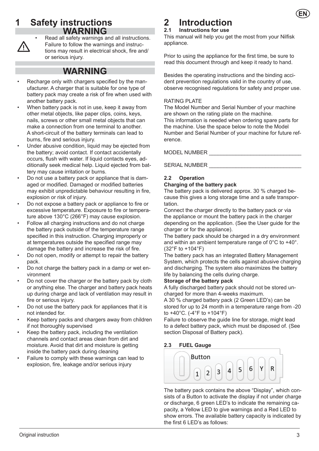# **1 Safety instructions WARNING**



• Read all safety warnings and all instructions. Failure to follow the warnings and instructions may result in electrical shock, fire and/ or serious injury.

# **WARNING**

- Recharge only with chargers specified by the manufacturer. A charger that is suitable for one type of battery pack may create a risk of fire when used with another battery pack.
- When battery pack is not in use, keep it away from other metal objects, like paper clips, coins, keys, nails, screws or other small metal objects that can make a connection from one terminal to another. A short-circuit of the battery terminals can lead to burns, fire and serious injury.
- Under abusive condition, liquid may be ejected from the battery; avoid contact. If contact accidentally occurs, flush with water. If liquid contacts eyes, additionally seek medical help. Liquid ejected from battery may cause irritation or burns.
- Do not use a battery pack or appliance that is damaged or modified. Damaged or modified batteries may exhibit unpredictable behaviour resulting in fire, explosion or risk of injury.
- Do not expose a battery pack or appliance to fire or excessive temperature. Exposure to fire or temperature above 130°C (266°F) may cause explosion.
- Follow all charging instructions and do not charge the battery pack outside of the temperature range specified in this instruction. Charging improperly or at temperatures outside the specified range may damage the battery and increase the risk of fire.
- Do not open, modify or attempt to repair the battery pack.
- Do not charge the battery pack in a damp or wet environment
- Do not cover the charger or the battery pack by cloth or anything else. The charger and battery pack heats up during charge and lack of ventilation may result in fire or serious injury.
- Do not use the battery pack for appliances that it is not intended for.
- Keep battery packs and chargers away from children if not thoroughly supervised
- Keep the battery pack, including the ventilation channels and contact areas clean from dirt and moisture. Avoid that dirt and moisture is getting inside the battery pack during cleaning
- Failure to comply with these warnings can lead to explosion, fire, leakage and/or serious injury

# **2** Introduction<br>2.1 Instructions for use

# **2.1 Instructions for use**

This manual will help you get the most from your Nilfisk appliance.

Prior to using the appliance for the first time, be sure to read this document through and keep it ready to hand.

Besides the operating instructions and the binding accident prevention regulations valid in the country of use, observe recognised regulations for safety and proper use.

# RATING PLATE

The Model Number and Serial Number of your machine are shown on the rating plate on the machine. This information is needed when ordering spare parts for the machine. Use the space below to note the Model Number and Serial Number of your machine for future reference.

MODEL NUMBER \_\_\_\_\_\_\_\_\_\_\_\_\_\_\_\_\_\_\_\_\_\_\_\_\_\_\_\_\_\_\_

SERIAL NUMBER \_\_\_\_\_\_\_\_\_\_\_\_\_\_\_\_\_\_\_\_\_\_\_\_\_\_\_\_\_\_\_

# **2.2 Operation**

# **Charging of the battery pack**

The battery pack is delivered approx. 30 % charged because this gives a long storage time and a safe transportation.

Connect the charger directly to the battery pack or via the appliance or mount the battery pack in the charger depending on the application. (See the User guide for the charger or for the appliance).

The battery pack should be charged in a dry environment and within an ambient temperature range of 0°C to +40°. (32°F to +104°F)

The battery pack has an integrated Battery Management System, which protects the cells against abusive charging and discharging. The system also maximizes the battery life by balancing the cells during charge.

# **Storage of the battery pack**

A fully discharged battery pack should not be stored uncharged for more than 4-weeks maximum.

A 30 % charged battery pack (2 Green LED's) can be stored for up to 24 month in a temperature range from -20 to +40°C. (-4°F to +104°F)

Failure to observe the guide line for storage, might lead to a defect battery pack, which must be disposed of. (See section Disposal of Battery pack).

# **2.3 FUEL Gauge**



The battery pack contains the above "Display", which consists of a Button to activate the display if not under charge or discharge, 6 green LED's to indicate the remaining capacity, a Yellow LED to give warnings and a Red LED to show errors. The available battery capacity is indicated by the first 6 LED's as follows:

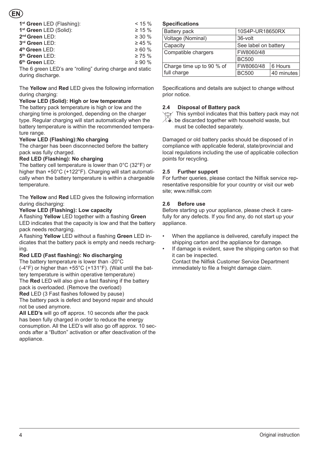| 1 <sup>st</sup> Green LED (Flashing):                    | $< 15 \%$    |  |  |
|----------------------------------------------------------|--------------|--|--|
| 1st Green LED (Solid):                                   | $\geq 15 \%$ |  |  |
| 2 <sup>nd</sup> Green LED:                               | $\geq 30 \%$ |  |  |
| 3rd Green LED:                                           | $\geq 45 \%$ |  |  |
| 4 <sup>th</sup> Green LED:                               | $\geq 60 \%$ |  |  |
| 5 <sup>th</sup> Green LED:                               | $\geq 75 \%$ |  |  |
| 6 <sup>th</sup> Green LED:                               | $\geq 90 \%$ |  |  |
| The 6 green LED's are "rolling" during charge and static |              |  |  |
| during discharge.                                        |              |  |  |

The **Yellow** and **Red** LED gives the following information during charging:

# **Yellow LED (Solid): High or low temperature**

The battery pack temperature is high or low and the charging time is prolonged, depending on the charger type. Regular charging will start automatically when the battery temperature is within the recommended temperature range.

# **Yellow LED (Flashing): No charging**

The charger has been disconnected before the battery pack was fully charged.

# **Red LED (Flashing): No charging**

The battery cell temperature is lower than 0°C (32°F) or higher than +50°C (+122°F). Charging will start automatically when the battery temperature is within a chargeable temperature.

The **Yellow** and **Red** LED gives the following information during discharging:

**Yellow LED (Flashing): Low capacity**

A flashing **Yellow** LED together with a flashing **Green**  LED indicates that the capacity is low and that the battery pack needs recharging.

A flashing **Yellow** LED without a flashing **Green** LED indicates that the battery pack is empty and needs recharging.

# **Red LED (Fast flashing): No discharging**

The battery temperature is lower than -20°C (-4°F) or higher than +55°C (+131°F). (Wait until the battery temperature is within operative temperature) The **Red** LED will also give a fast flashing if the battery

pack is overloaded. (Remove the overload)

**Red** LED (3 Fast flashes followed by pause) The battery pack is defect and beyond repair and should not be used anymore.

**All LED's** will go off approx. 10 seconds after the pack has been fully charged in order to reduce the energy consumption. All the LED's will also go off approx. 10 seconds after a "Button" activation or after deactivation of the appliance.

# **Specifications**

| Battery pack              | 10S4P-UR18650RX      |            |
|---------------------------|----------------------|------------|
| Voltage (Nominal)         | 36-volt              |            |
| Capacity                  | See label on battery |            |
| Compatible chargers       | FW8060/48            |            |
|                           | <b>BC500</b>         |            |
| Charge time up to 90 % of | FW8060/48            | 6 Hours    |
| full charge               | <b>BC500</b>         | 40 minutes |

Specifications and details are subject to change without prior notice.

# **2.4 Disposal of Battery pack**

 This symbol indicates that this battery pack may not  $\mathbb{C}\!\!\!\blacklozenge$  be discarded together with household waste, but must be collected separately.

Damaged or old battery packs should be disposed of in compliance with applicable federal, state/provincial and local regulations including the use of applicable collection points for recycling.

# **2.5 Further support**

For further queries, please contact the Nilfisk service representative responsible for your country or visit our web site; www.nilfisk.com

# **2.6 Before use**

Before starting up your appliance, please check it carefully for any defects. If you find any, do not start up your appliance.

- When the appliance is delivered, carefully inspect the shipping carton and the appliance for damage.
- If damage is evident, save the shipping carton so that it can be inspected. Contact the Nilfisk Customer Service Department immediately to file a freight damage claim.

4 Original instruction